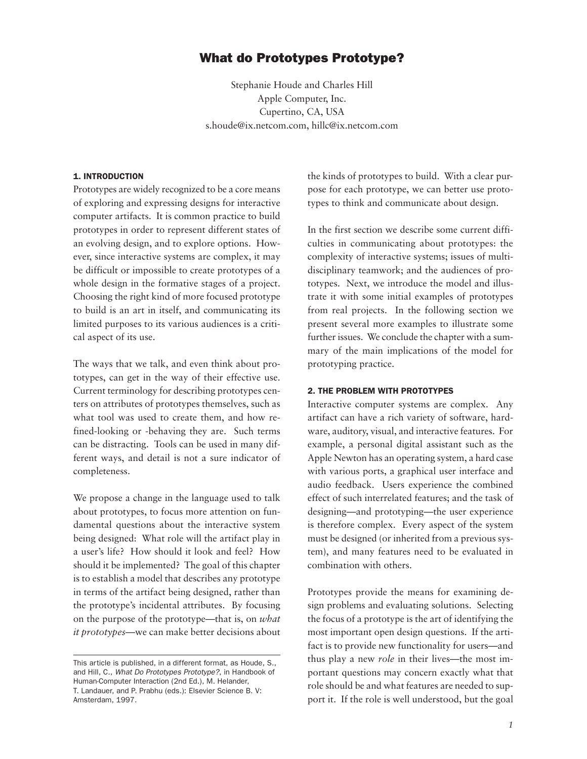# What do Prototypes Prototype?

Stephanie Houde and Charles Hill Apple Computer, Inc. Cupertino, CA, USA s.houde@ix.netcom.com, hillc@ix.netcom.com

# 1. INTRODUCTION

Prototypes are widely recognized to be a core means of exploring and expressing designs for interactive computer artifacts. It is common practice to build prototypes in order to represent different states of an evolving design, and to explore options. However, since interactive systems are complex, it may be difficult or impossible to create prototypes of a whole design in the formative stages of a project. Choosing the right kind of more focused prototype to build is an art in itself, and communicating its limited purposes to its various audiences is a critical aspect of its use.

The ways that we talk, and even think about prototypes, can get in the way of their effective use. Current terminology for describing prototypes centers on attributes of prototypes themselves, such as what tool was used to create them, and how refined-looking or -behaving they are. Such terms can be distracting. Tools can be used in many different ways, and detail is not a sure indicator of completeness.

We propose a change in the language used to talk about prototypes, to focus more attention on fundamental questions about the interactive system being designed: What role will the artifact play in a user's life? How should it look and feel? How should it be implemented? The goal of this chapter is to establish a model that describes any prototype in terms of the artifact being designed, rather than the prototype's incidental attributes. By focusing on the purpose of the prototype—that is, on *what it prototypes*—we can make better decisions about

This article is published, in a different format, as Houde, S., and Hill, C., What Do Prototypes Prototype?, in Handbook of Human-Computer Interaction (2nd Ed.), M. Helander, T. Landauer, and P. Prabhu (eds.): Elsevier Science B. V: Amsterdam, 1997.

the kinds of prototypes to build. With a clear purpose for each prototype, we can better use prototypes to think and communicate about design.

In the first section we describe some current difficulties in communicating about prototypes: the complexity of interactive systems; issues of multidisciplinary teamwork; and the audiences of prototypes. Next, we introduce the model and illustrate it with some initial examples of prototypes from real projects. In the following section we present several more examples to illustrate some further issues. We conclude the chapter with a summary of the main implications of the model for prototyping practice.

# 2. THE PROBLEM WITH PROTOTYPES

Interactive computer systems are complex. Any artifact can have a rich variety of software, hardware, auditory, visual, and interactive features. For example, a personal digital assistant such as the Apple Newton has an operating system, a hard case with various ports, a graphical user interface and audio feedback. Users experience the combined effect of such interrelated features; and the task of designing—and prototyping—the user experience is therefore complex. Every aspect of the system must be designed (or inherited from a previous system), and many features need to be evaluated in combination with others.

Prototypes provide the means for examining design problems and evaluating solutions. Selecting the focus of a prototype is the art of identifying the most important open design questions. If the artifact is to provide new functionality for users—and thus play a new *role* in their lives—the most important questions may concern exactly what that role should be and what features are needed to support it. If the role is well understood, but the goal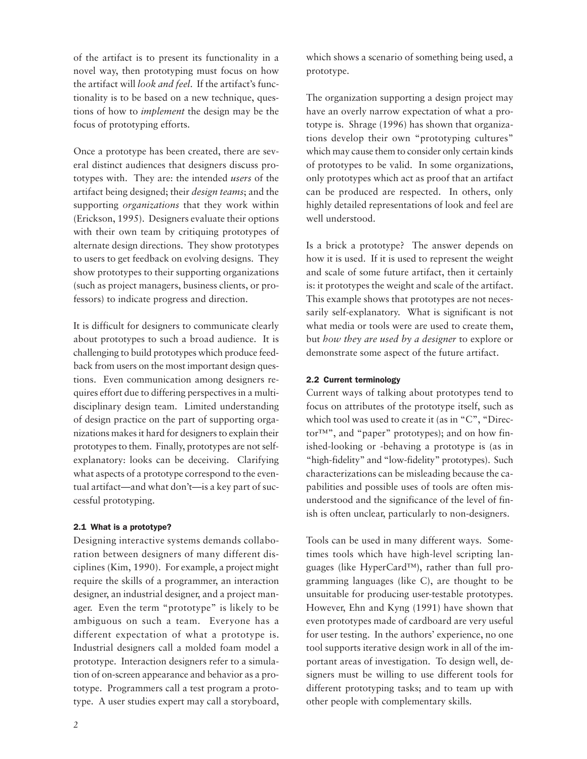of the artifact is to present its functionality in a novel way, then prototyping must focus on how the artifact will *look and feel*. If the artifact's functionality is to be based on a new technique, questions of how to *implement* the design may be the focus of prototyping efforts.

Once a prototype has been created, there are several distinct audiences that designers discuss prototypes with. They are: the intended *users* of the artifact being designed; their *design teams*; and the supporting *organizations* that they work within (Erickson, 1995). Designers evaluate their options with their own team by critiquing prototypes of alternate design directions. They show prototypes to users to get feedback on evolving designs. They show prototypes to their supporting organizations (such as project managers, business clients, or professors) to indicate progress and direction.

It is difficult for designers to communicate clearly about prototypes to such a broad audience. It is challenging to build prototypes which produce feedback from users on the most important design questions. Even communication among designers requires effort due to differing perspectives in a multidisciplinary design team. Limited understanding of design practice on the part of supporting organizations makes it hard for designers to explain their prototypes to them. Finally, prototypes are not selfexplanatory: looks can be deceiving. Clarifying what aspects of a prototype correspond to the eventual artifact—and what don't—is a key part of successful prototyping.

# 2.1 What is a prototype?

Designing interactive systems demands collaboration between designers of many different disciplines (Kim, 1990). For example, a project might require the skills of a programmer, an interaction designer, an industrial designer, and a project manager. Even the term "prototype" is likely to be ambiguous on such a team. Everyone has a different expectation of what a prototype is. Industrial designers call a molded foam model a prototype. Interaction designers refer to a simulation of on-screen appearance and behavior as a prototype. Programmers call a test program a prototype. A user studies expert may call a storyboard, which shows a scenario of something being used, a prototype.

The organization supporting a design project may have an overly narrow expectation of what a prototype is. Shrage (1996) has shown that organizations develop their own "prototyping cultures" which may cause them to consider only certain kinds of prototypes to be valid. In some organizations, only prototypes which act as proof that an artifact can be produced are respected. In others, only highly detailed representations of look and feel are well understood.

Is a brick a prototype? The answer depends on how it is used. If it is used to represent the weight and scale of some future artifact, then it certainly is: it prototypes the weight and scale of the artifact. This example shows that prototypes are not necessarily self-explanatory. What is significant is not what media or tools were are used to create them, but *how they are used by a designer* to explore or demonstrate some aspect of the future artifact.

# 2.2 Current terminology

Current ways of talking about prototypes tend to focus on attributes of the prototype itself, such as which tool was used to create it (as in "C", "Director™", and "paper" prototypes); and on how finished-looking or -behaving a prototype is (as in "high-fidelity" and "low-fidelity" prototypes). Such characterizations can be misleading because the capabilities and possible uses of tools are often misunderstood and the significance of the level of finish is often unclear, particularly to non-designers.

Tools can be used in many different ways. Sometimes tools which have high-level scripting languages (like HyperCard™), rather than full programming languages (like C), are thought to be unsuitable for producing user-testable prototypes. However, Ehn and Kyng (1991) have shown that even prototypes made of cardboard are very useful for user testing. In the authors' experience, no one tool supports iterative design work in all of the important areas of investigation. To design well, designers must be willing to use different tools for different prototyping tasks; and to team up with other people with complementary skills.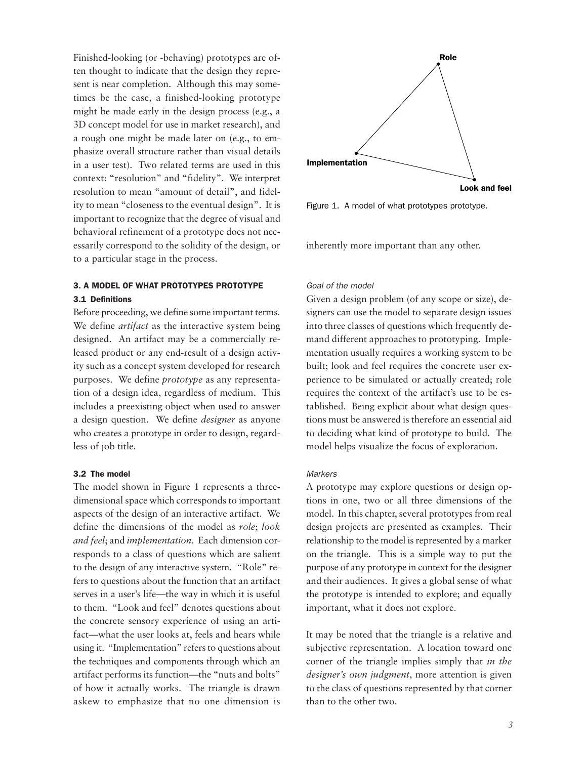Finished-looking (or -behaving) prototypes are often thought to indicate that the design they represent is near completion. Although this may sometimes be the case, a finished-looking prototype might be made early in the design process (e.g., a 3D concept model for use in market research), and a rough one might be made later on (e.g., to emphasize overall structure rather than visual details in a user test). Two related terms are used in this context: "resolution" and "fidelity". We interpret resolution to mean "amount of detail", and fidelity to mean "closeness to the eventual design". It is important to recognize that the degree of visual and behavioral refinement of a prototype does not necessarily correspond to the solidity of the design, or to a particular stage in the process.

# 3. A MODEL OF WHAT PROTOTYPES PROTOTYPE 3.1 Definitions

Before proceeding, we define some important terms. We define *artifact* as the interactive system being designed. An artifact may be a commercially released product or any end-result of a design activity such as a concept system developed for research purposes. We define *prototype* as any representation of a design idea, regardless of medium. This includes a preexisting object when used to answer a design question. We define *designer* as anyone who creates a prototype in order to design, regardless of job title.

# 3.2 The model

The model shown in Figure 1 represents a threedimensional space which corresponds to important aspects of the design of an interactive artifact. We define the dimensions of the model as *role*; *look and feel*; and *implementation*. Each dimension corresponds to a class of questions which are salient to the design of any interactive system. "Role" refers to questions about the function that an artifact serves in a user's life—the way in which it is useful to them. "Look and feel" denotes questions about the concrete sensory experience of using an artifact—what the user looks at, feels and hears while using it. "Implementation" refers to questions about the techniques and components through which an artifact performs its function—the "nuts and bolts" of how it actually works. The triangle is drawn askew to emphasize that no one dimension is



Figure 1. A model of what prototypes prototype.

inherently more important than any other.

### Goal of the model

Given a design problem (of any scope or size), designers can use the model to separate design issues into three classes of questions which frequently demand different approaches to prototyping. Implementation usually requires a working system to be built; look and feel requires the concrete user experience to be simulated or actually created; role requires the context of the artifact's use to be established. Being explicit about what design questions must be answered is therefore an essential aid to deciding what kind of prototype to build. The model helps visualize the focus of exploration.

# **Markers**

A prototype may explore questions or design options in one, two or all three dimensions of the model. In this chapter, several prototypes from real design projects are presented as examples. Their relationship to the model is represented by a marker on the triangle. This is a simple way to put the purpose of any prototype in context for the designer and their audiences. It gives a global sense of what the prototype is intended to explore; and equally important, what it does not explore.

It may be noted that the triangle is a relative and subjective representation. A location toward one corner of the triangle implies simply that *in the designer's own judgment*, more attention is given to the class of questions represented by that corner than to the other two.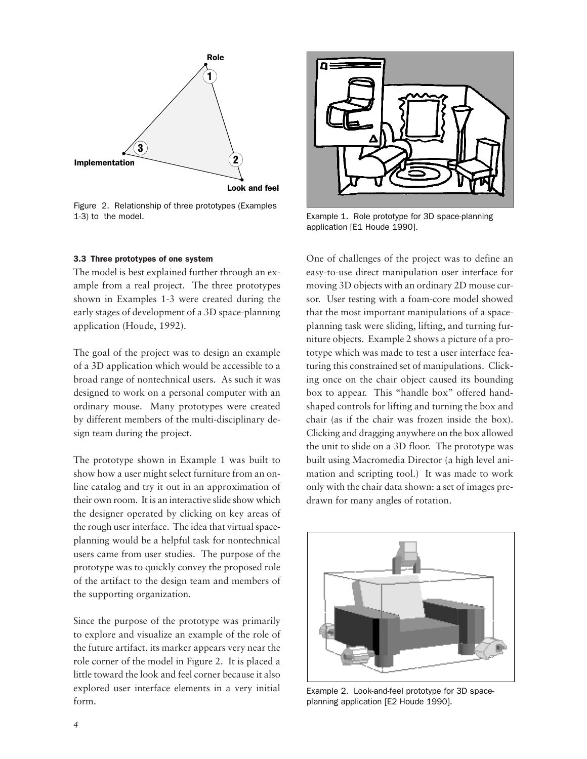

Figure 2. Relationship of three prototypes (Examples 1-3) to the model. Example 1. Role prototype for 3D space-planning

### 3.3 Three prototypes of one system

The model is best explained further through an example from a real project. The three prototypes shown in Examples 1-3 were created during the early stages of development of a 3D space-planning application (Houde, 1992).

The goal of the project was to design an example of a 3D application which would be accessible to a broad range of nontechnical users. As such it was designed to work on a personal computer with an ordinary mouse. Many prototypes were created by different members of the multi-disciplinary design team during the project.

The prototype shown in Example 1 was built to show how a user might select furniture from an online catalog and try it out in an approximation of their own room. It is an interactive slide show which the designer operated by clicking on key areas of the rough user interface. The idea that virtual spaceplanning would be a helpful task for nontechnical users came from user studies. The purpose of the prototype was to quickly convey the proposed role of the artifact to the design team and members of the supporting organization.

Since the purpose of the prototype was primarily to explore and visualize an example of the role of the future artifact, its marker appears very near the role corner of the model in Figure 2. It is placed a little toward the look and feel corner because it also explored user interface elements in a very initial form.



application [E1 Houde 1990].

One of challenges of the project was to define an easy-to-use direct manipulation user interface for moving 3D objects with an ordinary 2D mouse cursor. User testing with a foam-core model showed that the most important manipulations of a spaceplanning task were sliding, lifting, and turning furniture objects. Example 2 shows a picture of a prototype which was made to test a user interface featuring this constrained set of manipulations. Clicking once on the chair object caused its bounding box to appear. This "handle box" offered handshaped controls for lifting and turning the box and chair (as if the chair was frozen inside the box). Clicking and dragging anywhere on the box allowed the unit to slide on a 3D floor. The prototype was built using Macromedia Director (a high level animation and scripting tool.) It was made to work only with the chair data shown: a set of images predrawn for many angles of rotation.



Example 2. Look-and-feel prototype for 3D spaceplanning application [E2 Houde 1990].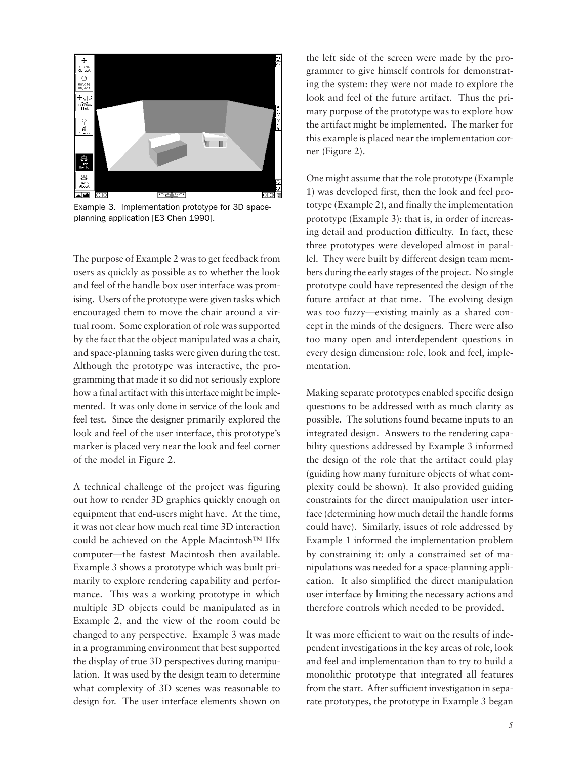

Example 3. Implementation prototype for 3D spaceplanning application [E3 Chen 1990].

The purpose of Example 2 was to get feedback from users as quickly as possible as to whether the look and feel of the handle box user interface was promising. Users of the prototype were given tasks which encouraged them to move the chair around a virtual room. Some exploration of role was supported by the fact that the object manipulated was a chair, and space-planning tasks were given during the test. Although the prototype was interactive, the programming that made it so did not seriously explore how a final artifact with this interface might be implemented. It was only done in service of the look and feel test. Since the designer primarily explored the look and feel of the user interface, this prototype's marker is placed very near the look and feel corner of the model in Figure 2.

A technical challenge of the project was figuring out how to render 3D graphics quickly enough on equipment that end-users might have. At the time, it was not clear how much real time 3D interaction could be achieved on the Apple Macintosh™ IIfx computer—the fastest Macintosh then available. Example 3 shows a prototype which was built primarily to explore rendering capability and performance. This was a working prototype in which multiple 3D objects could be manipulated as in Example 2, and the view of the room could be changed to any perspective. Example 3 was made in a programming environment that best supported the display of true 3D perspectives during manipulation. It was used by the design team to determine what complexity of 3D scenes was reasonable to design for. The user interface elements shown on

the left side of the screen were made by the programmer to give himself controls for demonstrating the system: they were not made to explore the look and feel of the future artifact. Thus the primary purpose of the prototype was to explore how the artifact might be implemented. The marker for this example is placed near the implementation corner (Figure 2).

One might assume that the role prototype (Example 1) was developed first, then the look and feel prototype (Example 2), and finally the implementation prototype (Example 3): that is, in order of increasing detail and production difficulty. In fact, these three prototypes were developed almost in parallel. They were built by different design team members during the early stages of the project. No single prototype could have represented the design of the future artifact at that time. The evolving design was too fuzzy—existing mainly as a shared concept in the minds of the designers. There were also too many open and interdependent questions in every design dimension: role, look and feel, implementation.

Making separate prototypes enabled specific design questions to be addressed with as much clarity as possible. The solutions found became inputs to an integrated design. Answers to the rendering capability questions addressed by Example 3 informed the design of the role that the artifact could play (guiding how many furniture objects of what complexity could be shown). It also provided guiding constraints for the direct manipulation user interface (determining how much detail the handle forms could have). Similarly, issues of role addressed by Example 1 informed the implementation problem by constraining it: only a constrained set of manipulations was needed for a space-planning application. It also simplified the direct manipulation user interface by limiting the necessary actions and therefore controls which needed to be provided.

It was more efficient to wait on the results of independent investigations in the key areas of role, look and feel and implementation than to try to build a monolithic prototype that integrated all features from the start. After sufficient investigation in separate prototypes, the prototype in Example 3 began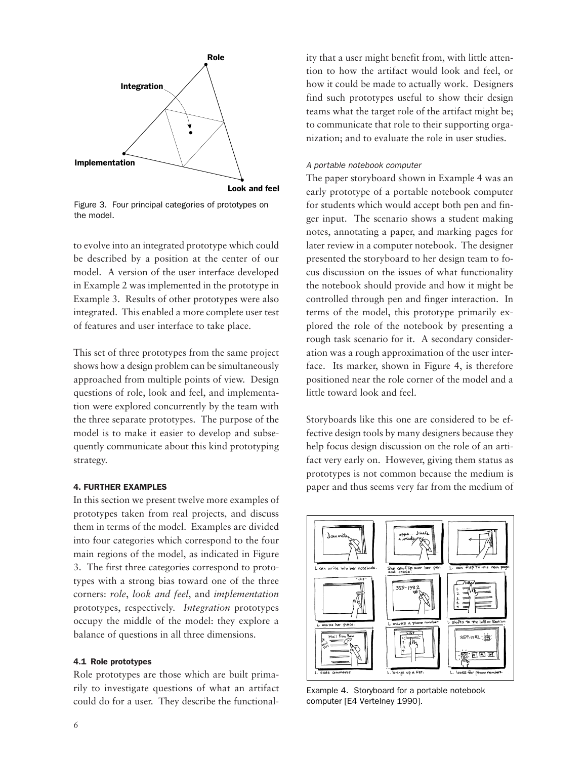

Figure 3. Four principal categories of prototypes on the model.

to evolve into an integrated prototype which could be described by a position at the center of our model. A version of the user interface developed in Example 2 was implemented in the prototype in Example 3. Results of other prototypes were also integrated. This enabled a more complete user test of features and user interface to take place.

This set of three prototypes from the same project shows how a design problem can be simultaneously approached from multiple points of view. Design questions of role, look and feel, and implementation were explored concurrently by the team with the three separate prototypes. The purpose of the model is to make it easier to develop and subsequently communicate about this kind prototyping strategy.

### 4. FURTHER EXAMPLES

In this section we present twelve more examples of prototypes taken from real projects, and discuss them in terms of the model. Examples are divided into four categories which correspond to the four main regions of the model, as indicated in Figure 3. The first three categories correspond to prototypes with a strong bias toward one of the three corners: *role*, *look and feel*, and *implementation* prototypes, respectively. *Integration* prototypes occupy the middle of the model: they explore a balance of questions in all three dimensions.

### 4.1 Role prototypes

Role prototypes are those which are built primarily to investigate questions of what an artifact could do for a user. They describe the functional-

ity that a user might benefit from, with little attention to how the artifact would look and feel, or how it could be made to actually work. Designers find such prototypes useful to show their design teams what the target role of the artifact might be; to communicate that role to their supporting organization; and to evaluate the role in user studies.

### A portable notebook computer

The paper storyboard shown in Example 4 was an early prototype of a portable notebook computer for students which would accept both pen and finger input. The scenario shows a student making notes, annotating a paper, and marking pages for later review in a computer notebook. The designer presented the storyboard to her design team to focus discussion on the issues of what functionality the notebook should provide and how it might be controlled through pen and finger interaction. In terms of the model, this prototype primarily explored the role of the notebook by presenting a rough task scenario for it. A secondary consideration was a rough approximation of the user interface. Its marker, shown in Figure 4, is therefore positioned near the role corner of the model and a little toward look and feel.

Storyboards like this one are considered to be effective design tools by many designers because they help focus design discussion on the role of an artifact very early on. However, giving them status as prototypes is not common because the medium is paper and thus seems very far from the medium of



Example 4. Storyboard for a portable notebook computer [E4 Vertelney 1990].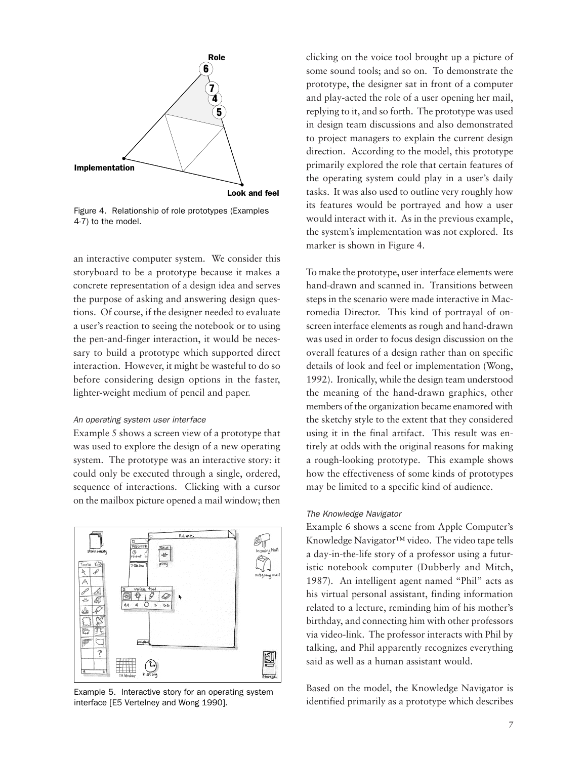

Figure 4. Relationship of role prototypes (Examples 4-7) to the model.

an interactive computer system. We consider this storyboard to be a prototype because it makes a concrete representation of a design idea and serves the purpose of asking and answering design questions. Of course, if the designer needed to evaluate a user's reaction to seeing the notebook or to using the pen-and-finger interaction, it would be necessary to build a prototype which supported direct interaction. However, it might be wasteful to do so before considering design options in the faster, lighter-weight medium of pencil and paper.

#### An operating system user interface

Example 5 shows a screen view of a prototype that was used to explore the design of a new operating system. The prototype was an interactive story: it could only be executed through a single, ordered, sequence of interactions. Clicking with a cursor on the mailbox picture opened a mail window; then



Example 5. Interactive story for an operating system interface [E5 Vertelney and Wong 1990].

clicking on the voice tool brought up a picture of some sound tools; and so on. To demonstrate the prototype, the designer sat in front of a computer and play-acted the role of a user opening her mail, replying to it, and so forth. The prototype was used in design team discussions and also demonstrated to project managers to explain the current design direction. According to the model, this prototype primarily explored the role that certain features of the operating system could play in a user's daily tasks. It was also used to outline very roughly how its features would be portrayed and how a user would interact with it. As in the previous example, the system's implementation was not explored. Its marker is shown in Figure 4.

To make the prototype, user interface elements were hand-drawn and scanned in. Transitions between steps in the scenario were made interactive in Macromedia Director. This kind of portrayal of onscreen interface elements as rough and hand-drawn was used in order to focus design discussion on the overall features of a design rather than on specific details of look and feel or implementation (Wong, 1992). Ironically, while the design team understood the meaning of the hand-drawn graphics, other members of the organization became enamored with the sketchy style to the extent that they considered using it in the final artifact. This result was entirely at odds with the original reasons for making a rough-looking prototype. This example shows how the effectiveness of some kinds of prototypes may be limited to a specific kind of audience.

### The Knowledge Navigator

Example 6 shows a scene from Apple Computer's Knowledge Navigator™ video. The video tape tells a day-in-the-life story of a professor using a futuristic notebook computer (Dubberly and Mitch, 1987). An intelligent agent named "Phil" acts as his virtual personal assistant, finding information related to a lecture, reminding him of his mother's birthday, and connecting him with other professors via video-link. The professor interacts with Phil by talking, and Phil apparently recognizes everything said as well as a human assistant would.

Based on the model, the Knowledge Navigator is identified primarily as a prototype which describes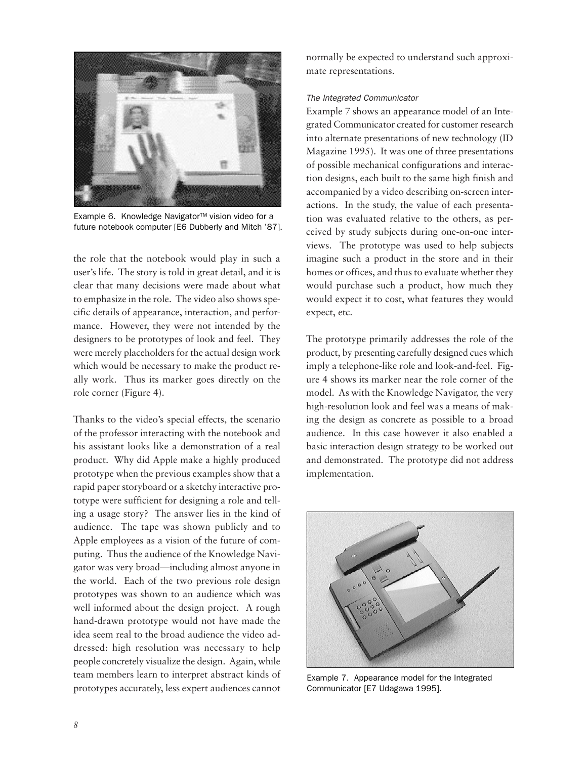

Example 6. Knowledge Navigator™ vision video for a future notebook computer [E6 Dubberly and Mitch '87].

the role that the notebook would play in such a user's life. The story is told in great detail, and it is clear that many decisions were made about what to emphasize in the role. The video also shows specific details of appearance, interaction, and performance. However, they were not intended by the designers to be prototypes of look and feel. They were merely placeholders for the actual design work which would be necessary to make the product really work. Thus its marker goes directly on the role corner (Figure 4).

Thanks to the video's special effects, the scenario of the professor interacting with the notebook and his assistant looks like a demonstration of a real product. Why did Apple make a highly produced prototype when the previous examples show that a rapid paper storyboard or a sketchy interactive prototype were sufficient for designing a role and telling a usage story? The answer lies in the kind of audience. The tape was shown publicly and to Apple employees as a vision of the future of computing. Thus the audience of the Knowledge Navigator was very broad—including almost anyone in the world. Each of the two previous role design prototypes was shown to an audience which was well informed about the design project. A rough hand-drawn prototype would not have made the idea seem real to the broad audience the video addressed: high resolution was necessary to help people concretely visualize the design. Again, while team members learn to interpret abstract kinds of prototypes accurately, less expert audiences cannot

normally be expected to understand such approximate representations.

### The Integrated Communicator

Example 7 shows an appearance model of an Integrated Communicator created for customer research into alternate presentations of new technology (ID Magazine 1995). It was one of three presentations of possible mechanical configurations and interaction designs, each built to the same high finish and accompanied by a video describing on-screen interactions. In the study, the value of each presentation was evaluated relative to the others, as perceived by study subjects during one-on-one interviews. The prototype was used to help subjects imagine such a product in the store and in their homes or offices, and thus to evaluate whether they would purchase such a product, how much they would expect it to cost, what features they would expect, etc.

The prototype primarily addresses the role of the product, by presenting carefully designed cues which imply a telephone-like role and look-and-feel. Figure 4 shows its marker near the role corner of the model. As with the Knowledge Navigator, the very high-resolution look and feel was a means of making the design as concrete as possible to a broad audience. In this case however it also enabled a basic interaction design strategy to be worked out and demonstrated. The prototype did not address implementation.



Example 7. Appearance model for the Integrated Communicator [E7 Udagawa 1995].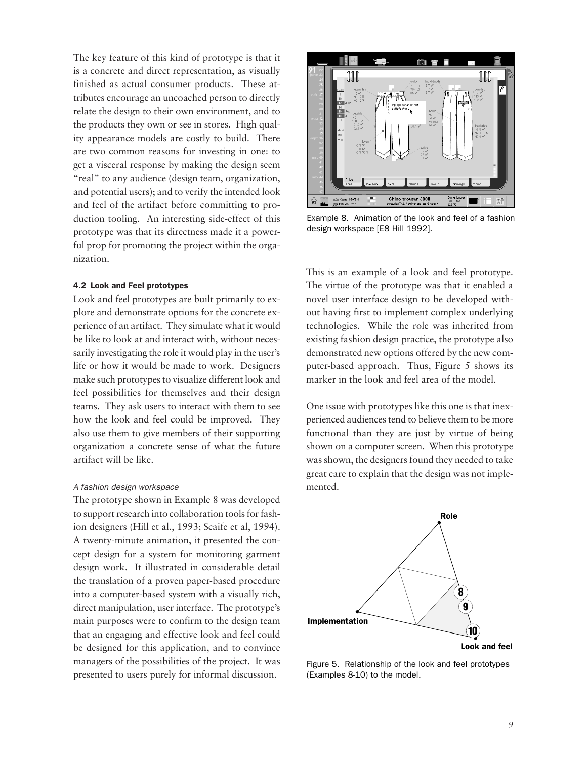The key feature of this kind of prototype is that it is a concrete and direct representation, as visually finished as actual consumer products. These attributes encourage an uncoached person to directly relate the design to their own environment, and to the products they own or see in stores. High quality appearance models are costly to build. There are two common reasons for investing in one: to get a visceral response by making the design seem "real" to any audience (design team, organization, and potential users); and to verify the intended look and feel of the artifact before committing to production tooling. An interesting side-effect of this prototype was that its directness made it a powerful prop for promoting the project within the organization.

### 4.2 Look and Feel prototypes

Look and feel prototypes are built primarily to explore and demonstrate options for the concrete experience of an artifact. They simulate what it would be like to look at and interact with, without necessarily investigating the role it would play in the user's life or how it would be made to work. Designers make such prototypes to visualize different look and feel possibilities for themselves and their design teams. They ask users to interact with them to see how the look and feel could be improved. They also use them to give members of their supporting organization a concrete sense of what the future artifact will be like.

#### A fashion design workspace

The prototype shown in Example 8 was developed to support research into collaboration tools for fashion designers (Hill et al., 1993; Scaife et al, 1994). A twenty-minute animation, it presented the concept design for a system for monitoring garment design work. It illustrated in considerable detail the translation of a proven paper-based procedure into a computer-based system with a visually rich, direct manipulation, user interface. The prototype's main purposes were to confirm to the design team that an engaging and effective look and feel could be designed for this application, and to convince managers of the possibilities of the project. It was presented to users purely for informal discussion.



Example 8. Animation of the look and feel of a fashion design workspace [E8 Hill 1992].

This is an example of a look and feel prototype. The virtue of the prototype was that it enabled a novel user interface design to be developed without having first to implement complex underlying technologies. While the role was inherited from existing fashion design practice, the prototype also demonstrated new options offered by the new computer-based approach. Thus, Figure 5 shows its marker in the look and feel area of the model.

One issue with prototypes like this one is that inexperienced audiences tend to believe them to be more functional than they are just by virtue of being shown on a computer screen. When this prototype was shown, the designers found they needed to take great care to explain that the design was not implemented.



Figure 5. Relationship of the look and feel prototypes (Examples 8-10) to the model.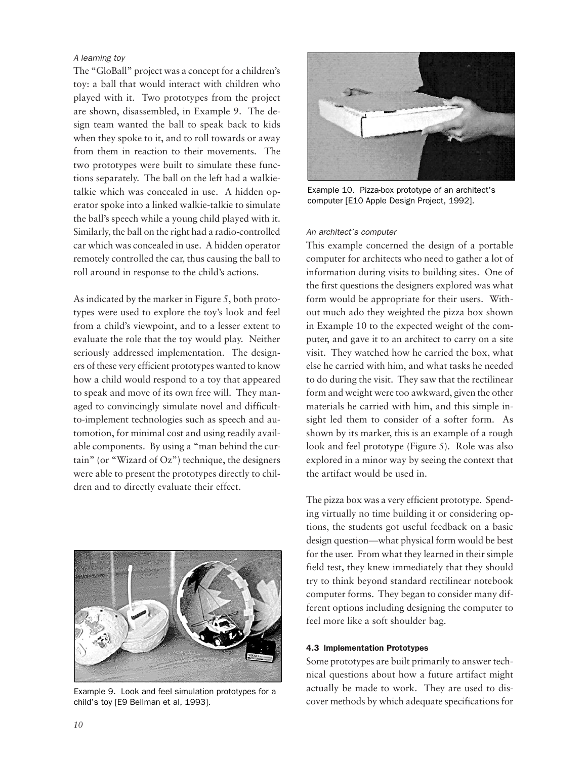# A learning toy

The "GloBall" project was a concept for a children's toy: a ball that would interact with children who played with it. Two prototypes from the project are shown, disassembled, in Example 9. The design team wanted the ball to speak back to kids when they spoke to it, and to roll towards or away from them in reaction to their movements. The two prototypes were built to simulate these functions separately. The ball on the left had a walkietalkie which was concealed in use. A hidden operator spoke into a linked walkie-talkie to simulate the ball's speech while a young child played with it. Similarly, the ball on the right had a radio-controlled car which was concealed in use. A hidden operator remotely controlled the car, thus causing the ball to roll around in response to the child's actions.

As indicated by the marker in Figure 5, both prototypes were used to explore the toy's look and feel from a child's viewpoint, and to a lesser extent to evaluate the role that the toy would play. Neither seriously addressed implementation. The designers of these very efficient prototypes wanted to know how a child would respond to a toy that appeared to speak and move of its own free will. They managed to convincingly simulate novel and difficultto-implement technologies such as speech and automotion, for minimal cost and using readily available components. By using a "man behind the curtain" (or "Wizard of Oz") technique, the designers were able to present the prototypes directly to children and to directly evaluate their effect.



Example 9. Look and feel simulation prototypes for a child's toy [E9 Bellman et al, 1993].



Example 10. Pizza-box prototype of an architect's computer [E10 Apple Design Project, 1992].

### An architect's computer

This example concerned the design of a portable computer for architects who need to gather a lot of information during visits to building sites. One of the first questions the designers explored was what form would be appropriate for their users. Without much ado they weighted the pizza box shown in Example 10 to the expected weight of the computer, and gave it to an architect to carry on a site visit. They watched how he carried the box, what else he carried with him, and what tasks he needed to do during the visit. They saw that the rectilinear form and weight were too awkward, given the other materials he carried with him, and this simple insight led them to consider of a softer form. As shown by its marker, this is an example of a rough look and feel prototype (Figure 5). Role was also explored in a minor way by seeing the context that the artifact would be used in.

The pizza box was a very efficient prototype. Spending virtually no time building it or considering options, the students got useful feedback on a basic design question—what physical form would be best for the user. From what they learned in their simple field test, they knew immediately that they should try to think beyond standard rectilinear notebook computer forms. They began to consider many different options including designing the computer to feel more like a soft shoulder bag.

# 4.3 Implementation Prototypes

Some prototypes are built primarily to answer technical questions about how a future artifact might actually be made to work. They are used to discover methods by which adequate specifications for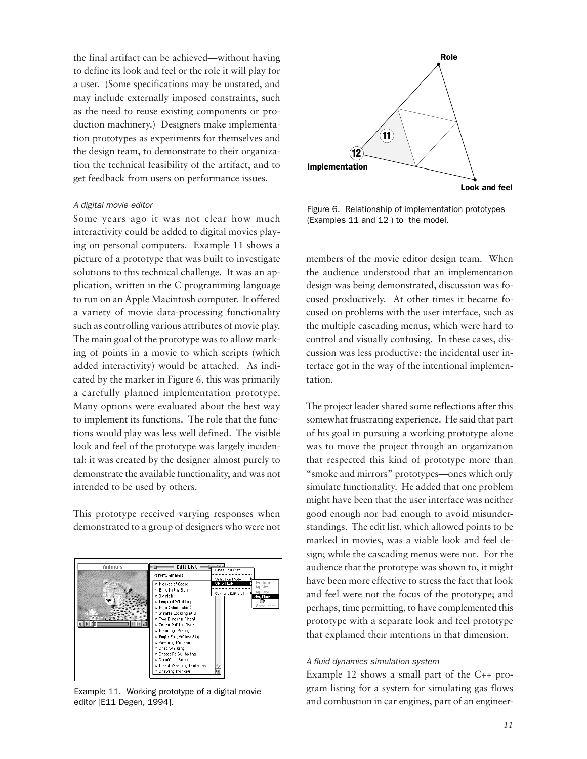the final artifact can be achieved—without having to define its look and feel or the role it will play for a user. (Some specifications may be unstated, and may include externally imposed constraints, such as the need to reuse existing components or production machinery.) Designers make implementation prototypes as experiments for themselves and the design team, to demonstrate to their organization the technical feasibility of the artifact, and to get feedback from users on performance issues.

# A digital movie editor

Some years ago it was not clear how much interactivity could be added to digital movies playing on personal computers. Example 11 shows a picture of a prototype that was built to investigate solutions to this technical challenge. It was an application, written in the C programming language to run on an Apple Macintosh computer. It offered a variety of movie data-processing functionality such as controlling various attributes of movie play. The main goal of the prototype was to allow marking of points in a movie to which scripts (which added interactivity) would be attached. As indicated by the marker in Figure 6, this was primarily a carefully planned implementation prototype. Many options were evaluated about the best way to implement its functions. The role that the functions would play was less well defined. The visible look and feel of the prototype was largely incidental: it was created by the designer almost purely to demonstrate the available functionality, and was not intended to be used by others.

This prototype received varying responses when demonstrated to a group of designers who were not



Example 11. Working prototype of a digital movie editor [E11 Degen, 1994].



Figure 6. Relationship of implementation prototypes (Examples 11 and 12 ) to the model.

members of the movie editor design team. When the audience understood that an implementation design was being demonstrated, discussion was focused productively. At other times it became focused on problems with the user interface, such as the multiple cascading menus, which were hard to control and visually confusing. In these cases, discussion was less productive: the incidental user interface got in the way of the intentional implementation.

The project leader shared some reflections after this somewhat frustrating experience. He said that part of his goal in pursuing a working prototype alone was to move the project through an organization that respected this kind of prototype more than "smoke and mirrors" prototypes—ones which only simulate functionality. He added that one problem might have been that the user interface was neither good enough nor bad enough to avoid misunderstandings. The edit list, which allowed points to be marked in movies, was a viable look and feel design; while the cascading menus were not. For the audience that the prototype was shown to, it might have been more effective to stress the fact that look and feel were not the focus of the prototype; and perhaps, time permitting, to have complemented this prototype with a separate look and feel prototype that explained their intentions in that dimension.

### A fluid dynamics simulation system

Example 12 shows a small part of the C++ program listing for a system for simulating gas flows and combustion in car engines, part of an engineer-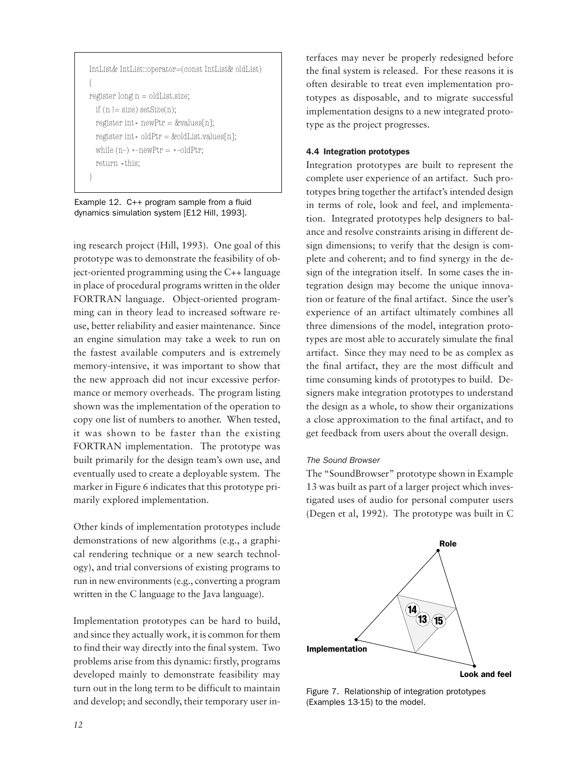```
IntList& IntList::operator=(const IntList& oldList)
{
register \log n = oldList.size;
 if (n != size) setSize(n);register int * newPtr = &values[n];
  register int * oldPtr = &oldList.values[n];
  while (n-) *-newPtr = *-oldPr;return *this;
}
```
Example 12. C++ program sample from a fluid dynamics simulation system [E12 Hill, 1993].

ing research project (Hill, 1993). One goal of this prototype was to demonstrate the feasibility of object-oriented programming using the C++ language in place of procedural programs written in the older FORTRAN language. Object-oriented programming can in theory lead to increased software reuse, better reliability and easier maintenance. Since an engine simulation may take a week to run on the fastest available computers and is extremely memory-intensive, it was important to show that the new approach did not incur excessive performance or memory overheads. The program listing shown was the implementation of the operation to copy one list of numbers to another. When tested, it was shown to be faster than the existing FORTRAN implementation. The prototype was built primarily for the design team's own use, and eventually used to create a deployable system. The marker in Figure 6 indicates that this prototype primarily explored implementation.

Other kinds of implementation prototypes include demonstrations of new algorithms (e.g., a graphical rendering technique or a new search technology), and trial conversions of existing programs to run in new environments (e.g., converting a program written in the C language to the Java language).

Implementation prototypes can be hard to build, and since they actually work, it is common for them to find their way directly into the final system. Two problems arise from this dynamic: firstly, programs developed mainly to demonstrate feasibility may turn out in the long term to be difficult to maintain and develop; and secondly, their temporary user interfaces may never be properly redesigned before the final system is released. For these reasons it is often desirable to treat even implementation prototypes as disposable, and to migrate successful implementation designs to a new integrated prototype as the project progresses.

# 4.4 Integration prototypes

Integration prototypes are built to represent the complete user experience of an artifact. Such prototypes bring together the artifact's intended design in terms of role, look and feel, and implementation. Integrated prototypes help designers to balance and resolve constraints arising in different design dimensions; to verify that the design is complete and coherent; and to find synergy in the design of the integration itself. In some cases the integration design may become the unique innovation or feature of the final artifact. Since the user's experience of an artifact ultimately combines all three dimensions of the model, integration prototypes are most able to accurately simulate the final artifact. Since they may need to be as complex as the final artifact, they are the most difficult and time consuming kinds of prototypes to build. Designers make integration prototypes to understand the design as a whole, to show their organizations a close approximation to the final artifact, and to get feedback from users about the overall design.

# The Sound Browser

The "SoundBrowser" prototype shown in Example 13 was built as part of a larger project which investigated uses of audio for personal computer users (Degen et al, 1992). The prototype was built in C



Figure 7. Relationship of integration prototypes (Examples 13-15) to the model.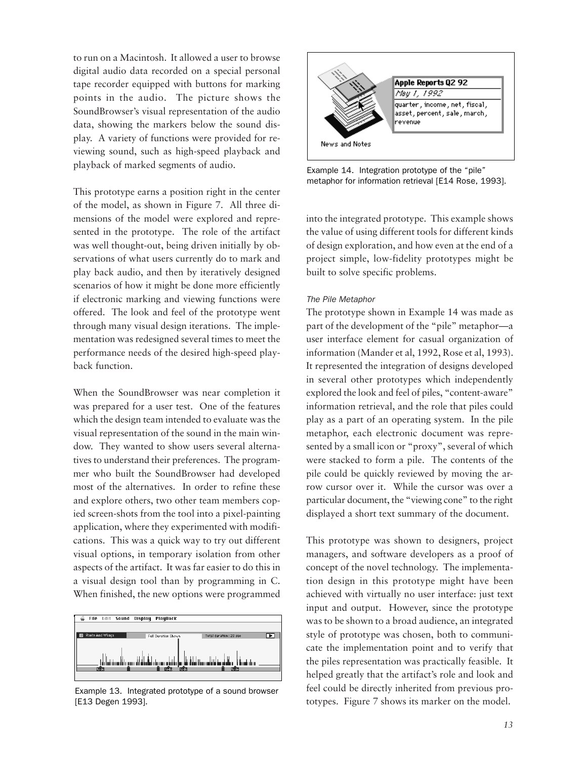to run on a Macintosh. It allowed a user to browse digital audio data recorded on a special personal tape recorder equipped with buttons for marking points in the audio. The picture shows the SoundBrowser's visual representation of the audio data, showing the markers below the sound display. A variety of functions were provided for reviewing sound, such as high-speed playback and playback of marked segments of audio.

This prototype earns a position right in the center of the model, as shown in Figure 7. All three dimensions of the model were explored and represented in the prototype. The role of the artifact was well thought-out, being driven initially by observations of what users currently do to mark and play back audio, and then by iteratively designed scenarios of how it might be done more efficiently if electronic marking and viewing functions were offered. The look and feel of the prototype went through many visual design iterations. The implementation was redesigned several times to meet the performance needs of the desired high-speed playback function.

When the SoundBrowser was near completion it was prepared for a user test. One of the features which the design team intended to evaluate was the visual representation of the sound in the main window. They wanted to show users several alternatives to understand their preferences. The programmer who built the SoundBrowser had developed most of the alternatives. In order to refine these and explore others, two other team members copied screen-shots from the tool into a pixel-painting application, where they experimented with modifications. This was a quick way to try out different visual options, in temporary isolation from other aspects of the artifact. It was far easier to do this in a visual design tool than by programming in C. When finished, the new options were programmed



Example 13. Integrated prototype of a sound browser [E13 Degen 1993].



Example 14. Integration prototype of the "pile" metaphor for information retrieval [E14 Rose, 1993].

into the integrated prototype. This example shows the value of using different tools for different kinds of design exploration, and how even at the end of a project simple, low-fidelity prototypes might be built to solve specific problems.

### The Pile Metaphor

The prototype shown in Example 14 was made as part of the development of the "pile" metaphor—a user interface element for casual organization of information (Mander et al, 1992, Rose et al, 1993). It represented the integration of designs developed in several other prototypes which independently explored the look and feel of piles, "content-aware" information retrieval, and the role that piles could play as a part of an operating system. In the pile metaphor, each electronic document was represented by a small icon or "proxy", several of which were stacked to form a pile. The contents of the pile could be quickly reviewed by moving the arrow cursor over it. While the cursor was over a particular document, the "viewing cone" to the right displayed a short text summary of the document.

This prototype was shown to designers, project managers, and software developers as a proof of concept of the novel technology. The implementation design in this prototype might have been achieved with virtually no user interface: just text input and output. However, since the prototype was to be shown to a broad audience, an integrated style of prototype was chosen, both to communicate the implementation point and to verify that the piles representation was practically feasible. It helped greatly that the artifact's role and look and feel could be directly inherited from previous prototypes. Figure 7 shows its marker on the model.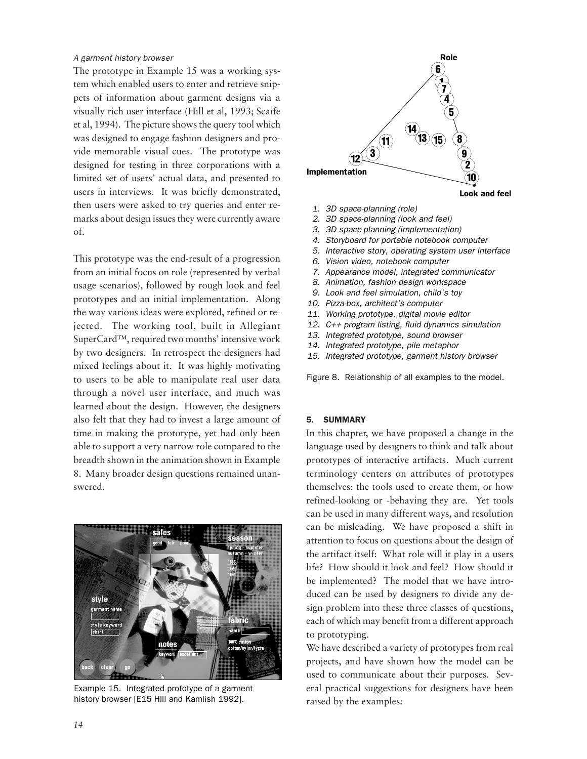### A garment history browser

The prototype in Example 15 was a working system which enabled users to enter and retrieve snippets of information about garment designs via a visually rich user interface (Hill et al, 1993; Scaife et al, 1994). The picture shows the query tool which was designed to engage fashion designers and provide memorable visual cues. The prototype was designed for testing in three corporations with a limited set of users' actual data, and presented to users in interviews. It was briefly demonstrated, then users were asked to try queries and enter remarks about design issues they were currently aware of.

This prototype was the end-result of a progression from an initial focus on role (represented by verbal usage scenarios), followed by rough look and feel prototypes and an initial implementation. Along the way various ideas were explored, refined or rejected. The working tool, built in Allegiant SuperCard™, required two months' intensive work by two designers. In retrospect the designers had mixed feelings about it. It was highly motivating to users to be able to manipulate real user data through a novel user interface, and much was learned about the design. However, the designers also felt that they had to invest a large amount of time in making the prototype, yet had only been able to support a very narrow role compared to the breadth shown in the animation shown in Example 8. Many broader design questions remained unanswered.



Example 15. Integrated prototype of a garment history browser [E15 Hill and Kamlish 1992].



- 1. 3D space-planning (role)
- 2. 3D space-planning (look and feel)
- 3. 3D space-planning (implementation)
- 4. Storyboard for portable notebook computer
- 5. Interactive story, operating system user interface
- 6. Vision video, notebook computer
- 7. Appearance model, integrated communicator
- 8. Animation, fashion design workspace
- 9. Look and feel simulation, child's toy
- 10. Pizza-box, architect's computer
- 11. Working prototype, digital movie editor
- 12. C++ program listing, fluid dynamics simulation
- 13. Integrated prototype, sound browser
- 14. Integrated prototype, pile metaphor
- 15. Integrated prototype, garment history browser

Figure 8. Relationship of all examples to the model.

### 5. SUMMARY

In this chapter, we have proposed a change in the language used by designers to think and talk about prototypes of interactive artifacts. Much current terminology centers on attributes of prototypes themselves: the tools used to create them, or how refined-looking or -behaving they are. Yet tools can be used in many different ways, and resolution can be misleading. We have proposed a shift in attention to focus on questions about the design of the artifact itself: What role will it play in a users life? How should it look and feel? How should it be implemented? The model that we have introduced can be used by designers to divide any design problem into these three classes of questions, each of which may benefit from a different approach to prototyping.

We have described a variety of prototypes from real projects, and have shown how the model can be used to communicate about their purposes. Several practical suggestions for designers have been raised by the examples: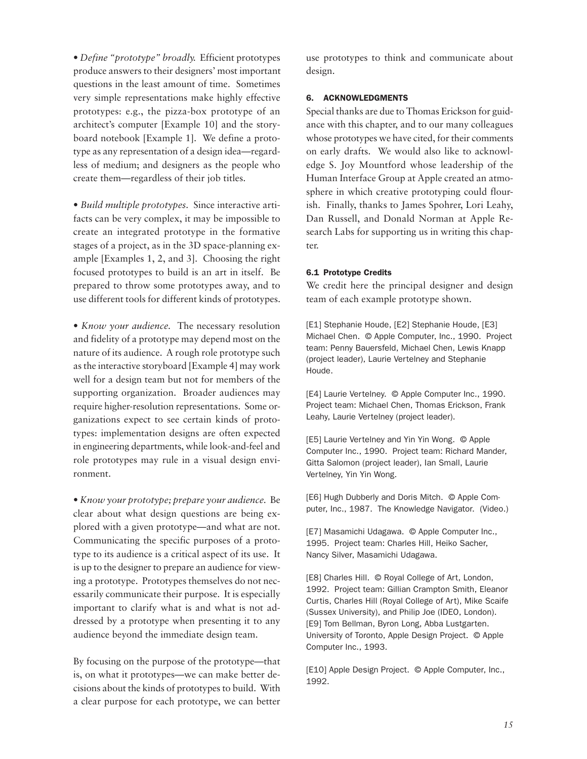• *Define "prototype" broadly.* Efficient prototypes produce answers to their designers' most important questions in the least amount of time. Sometimes very simple representations make highly effective prototypes: e.g., the pizza-box prototype of an architect's computer [Example 10] and the storyboard notebook [Example 1]. We define a prototype as any representation of a design idea—regardless of medium; and designers as the people who create them—regardless of their job titles.

• *Build multiple prototypes.* Since interactive artifacts can be very complex, it may be impossible to create an integrated prototype in the formative stages of a project, as in the 3D space-planning example [Examples 1, 2, and 3]. Choosing the right focused prototypes to build is an art in itself. Be prepared to throw some prototypes away, and to use different tools for different kinds of prototypes.

• *Know your audience.* The necessary resolution and fidelity of a prototype may depend most on the nature of its audience. A rough role prototype such as the interactive storyboard [Example 4] may work well for a design team but not for members of the supporting organization. Broader audiences may require higher-resolution representations. Some organizations expect to see certain kinds of prototypes: implementation designs are often expected in engineering departments, while look-and-feel and role prototypes may rule in a visual design environment.

• *Know your prototype; prepare your audience.* Be clear about what design questions are being explored with a given prototype—and what are not. Communicating the specific purposes of a prototype to its audience is a critical aspect of its use. It is up to the designer to prepare an audience for viewing a prototype. Prototypes themselves do not necessarily communicate their purpose. It is especially important to clarify what is and what is not addressed by a prototype when presenting it to any audience beyond the immediate design team.

By focusing on the purpose of the prototype—that is, on what it prototypes—we can make better decisions about the kinds of prototypes to build. With a clear purpose for each prototype, we can better use prototypes to think and communicate about design.

# 6. ACKNOWLEDGMENTS

Special thanks are due to Thomas Erickson for guidance with this chapter, and to our many colleagues whose prototypes we have cited, for their comments on early drafts. We would also like to acknowledge S. Joy Mountford whose leadership of the Human Interface Group at Apple created an atmosphere in which creative prototyping could flourish. Finally, thanks to James Spohrer, Lori Leahy, Dan Russell, and Donald Norman at Apple Research Labs for supporting us in writing this chapter.

### 6.1 Prototype Credits

We credit here the principal designer and design team of each example prototype shown.

[E1] Stephanie Houde, [E2] Stephanie Houde, [E3] Michael Chen. © Apple Computer, Inc., 1990. Project team: Penny Bauersfeld, Michael Chen, Lewis Knapp (project leader), Laurie Vertelney and Stephanie Houde.

[E4] Laurie Vertelney. © Apple Computer Inc., 1990. Project team: Michael Chen, Thomas Erickson, Frank Leahy, Laurie Vertelney (project leader).

[E5] Laurie Vertelney and Yin Yin Wong. © Apple Computer Inc., 1990. Project team: Richard Mander, Gitta Salomon (project leader), Ian Small, Laurie Vertelney, Yin Yin Wong.

[E6] Hugh Dubberly and Doris Mitch. © Apple Computer, Inc., 1987. The Knowledge Navigator. (Video.)

[E7] Masamichi Udagawa. © Apple Computer Inc., 1995. Project team: Charles Hill, Heiko Sacher, Nancy Silver, Masamichi Udagawa.

[E8] Charles Hill. © Royal College of Art, London, 1992. Project team: Gillian Crampton Smith, Eleanor Curtis, Charles Hill (Royal College of Art), Mike Scaife (Sussex University), and Philip Joe (IDEO, London). [E9] Tom Bellman, Byron Long, Abba Lustgarten. University of Toronto, Apple Design Project. © Apple Computer Inc., 1993.

[E10] Apple Design Project. © Apple Computer, Inc., 1992.